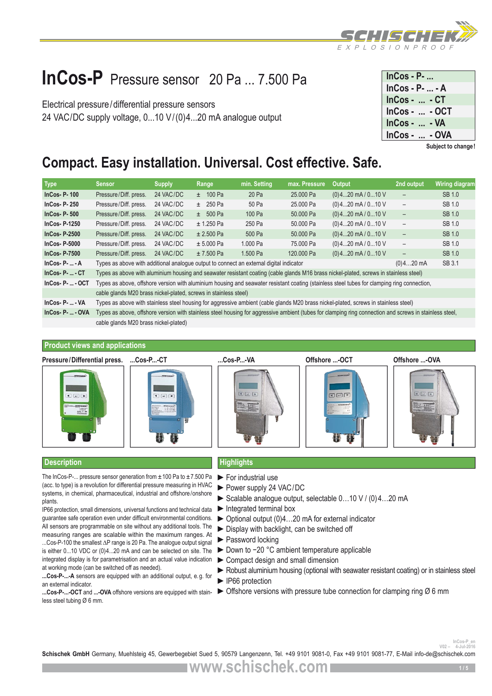

## **InCos-P** Pressure sensor 20 Pa ... 7.500 Pa

Electrical pressure/differential pressure sensors 24 VAC/DC supply voltage, 0...10 V/(0)4...20 mA analogue output

| $InCos - P-$       |  |
|--------------------|--|
| $InCos - P -  - A$ |  |
| $InCos -  - CT$    |  |
| InCos -  - OCT     |  |
| $InCos -  - VA$    |  |
| $InCos -  - OVA$   |  |

**Subject to change!**

## **Compact. Easy installation. Universal. Cost effective. Safe.**

| <b>Type</b>                              | <b>Sensor</b>                                                                                                                                         | <b>Supply</b> | Range        | min. Setting | max. Pressure | <b>Output</b>                                                                                                                        | 2nd output               | <b>Wiring diagram</b> |  |  |
|------------------------------------------|-------------------------------------------------------------------------------------------------------------------------------------------------------|---------------|--------------|--------------|---------------|--------------------------------------------------------------------------------------------------------------------------------------|--------------------------|-----------------------|--|--|
| $InCos-P-100$                            | Pressure/Diff. press.                                                                                                                                 | 24 VAC/DC     | $\pm$ 100 Pa | 20 Pa        | 25,000 Pa     | $(0)$ 420 mA / 010 V                                                                                                                 | $\qquad \qquad -$        | SB 1.0                |  |  |
| <b>InCos-P-250</b>                       | Pressure/Diff. press.                                                                                                                                 | 24 VAC/DC     | $\pm 250$ Pa | 50 Pa        | 25,000 Pa     | $(0)$ 420 mA / 010 V                                                                                                                 | $\overline{\phantom{a}}$ | SB 1.0                |  |  |
| $InCos-P-500$                            | Pressure/Diff. press.                                                                                                                                 | 24 VAC/DC     | $\pm 500$ Pa | 100 Pa       | 50,000 Pa     | $(0)$ 420 mA / 010 V                                                                                                                 | $\overline{\phantom{a}}$ | SB 1.0                |  |  |
| <b>InCos-P-1250</b>                      | Pressure/Diff. press.                                                                                                                                 | 24 VAC/DC     | $± 1.250$ Pa | 250 Pa       | 50,000 Pa     | $(0)$ 420 mA / 010 V                                                                                                                 | $\overline{\phantom{a}}$ | SB 1.0                |  |  |
| $InCos- P-2500$                          | Pressure/Diff. press.                                                                                                                                 | 24 VAC/DC     | $± 2.500$ Pa | 500 Pa       | 50,000 Pa     | $(0)$ 420 mA / 010 V                                                                                                                 | $\overline{\phantom{a}}$ | SB 1.0                |  |  |
| $InCos- P-5000$                          | Pressure/Diff. press.                                                                                                                                 | 24 VAC/DC     | $± 5.000$ Pa | 1.000 Pa     | 75,000 Pa     | $(0)$ 420 mA / 010 V                                                                                                                 | $\overline{\phantom{a}}$ | SB 1.0                |  |  |
| $InCos- P-7500$                          | Pressure/Diff. press.                                                                                                                                 | 24 VAC/DC     | $± 7.500$ Pa | 1.500 Pa     | 120,000 Pa    | $(0)$ 420 mA / 010 V                                                                                                                 | $\overline{\phantom{a}}$ | SB 1.0                |  |  |
| $InCos-P-  - A$                          | SB 3.1<br>Types as above with additional analogue output to connect an external digital indicator<br>$(0)420$ mA                                      |               |              |              |               |                                                                                                                                      |                          |                       |  |  |
| $InCos-P-  - CT$                         | Types as above with aluminium housing and seawater resistant coating (cable glands M16 brass nickel-plated, screws in stainless steel)                |               |              |              |               |                                                                                                                                      |                          |                       |  |  |
| $InCos-P-. - OCT$                        | Types as above, offshore version with aluminium housing and seawater resistant coating (stainless steel tubes for clamping ring connection,           |               |              |              |               |                                                                                                                                      |                          |                       |  |  |
|                                          | cable glands M20 brass nickel-plated, screws in stainless steel)                                                                                      |               |              |              |               |                                                                                                                                      |                          |                       |  |  |
| $InCos-P-  - VA$                         |                                                                                                                                                       |               |              |              |               | Types as above with stainless steel housing for aggressive ambient (cable glands M20 brass nickel-plated, screws in stainless steel) |                          |                       |  |  |
| InC <sub>0</sub> , D <sub>1</sub> , ON/A | Tynes as above offshore version with stainless steel housing for aggressive ambient (tubes for clamping ring connection and screws in stainless steel |               |              |              |               |                                                                                                                                      |                          |                       |  |  |

**InCos- P- ... - OVA** Types as above, offshore version with stainless steel housing for aggressive ambient (tubes for clamping ring connection and screws in stainless steel, cable glands M20 brass nickel-plated)

## **Product views and applications**

**Pressure/Differential press.**









OOF

**...Cos-P...-CT ...Cos-P...-VA Offshore ...-OCT Offshore ...-OVA**



## **Description Highlights**

The InCos-P-... pressure sensor generation from  $\pm 100$  Pa to  $\pm 7.500$  Pa (acc. to type) is a revolution for differential pressure measuring in HVAC systems, in chemical, pharmaceutical, industrial and offshore/onshore plants.

IP66 protection, small dimensions, universal functions and technical data guarantee safe operation even under difficult environmental conditions. All sensors are programmable on site without any additional tools. The measuring ranges are scalable within the maximum ranges. At

...Cos-P-100 the smallest ∆P range is 20 Pa. The analogue output signal is either 0...10 VDC or (0)4...20 mA and can be selected on site. The integrated display is for parametrisation and an actual value indication at working mode (can be switched off as needed).

**...Cos-P-...-A** sensors are equipped with an additional output, e.g. for an external indicator.

**...Cos-P-...-OCT** and **...-OVA** offshore versions are equipped with stainless steel tubing Ø 6 mm.

- 
- ►For industrial use
- ►Power supply 24 VAC/DC
- ►Scalable analogue output, selectable 0…10 V / (0)4…20 mA
- ►Integrated terminal box
- ►Optional output (0)4…20 mA for external indicator
- ►Display with backlight, can be switched off
- ►Password locking
- ► Down to -20 °C ambient temperature applicable
- ►Compact design and small dimension
- ► Robust aluminium housing (optional with seawater resistant coating) or in stainless steel ►IP66 protection
- $\triangleright$  Offshore versions with pressure tube connection for clamping ring  $\varnothing$  6 mm

**V02 – 4-Jul-2016**

**Schischek GmbH** Germany, Muehlsteig 45, Gewerbegebiet Sued 5, 90579 Langenzenn, Tel. +49 9101 9081-0, Fax +49 9101 9081-77, E-Mail info-de@schischek.com **InCos-P\_en**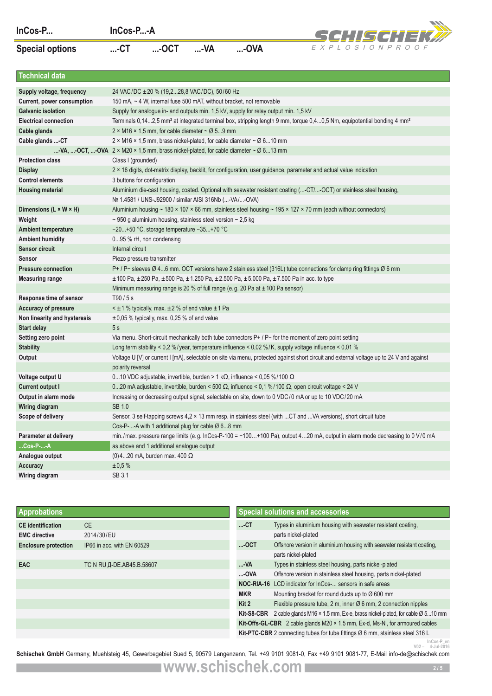| ماا<br>ır | ٠ |
|-----------|---|
|-----------|---|



| InCos-P                                |                            | InCos-P-A                                                                                                                                                                                                                                          |        |            | SCHISCHEK#                                                                                                                                     |  |  |  |  |  |  |
|----------------------------------------|----------------------------|----------------------------------------------------------------------------------------------------------------------------------------------------------------------------------------------------------------------------------------------------|--------|------------|------------------------------------------------------------------------------------------------------------------------------------------------|--|--|--|--|--|--|
| <b>Special options</b>                 | $$ - $CT$                  | $$ -OCT                                                                                                                                                                                                                                            | $$ -VA | $$ -OVA    | EXPLOSIONPROOF                                                                                                                                 |  |  |  |  |  |  |
| <b>Technical data</b>                  |                            |                                                                                                                                                                                                                                                    |        |            |                                                                                                                                                |  |  |  |  |  |  |
| Supply voltage, frequency              |                            | 24 VAC/DC ± 20 % (19,228,8 VAC/DC), 50/60 Hz                                                                                                                                                                                                       |        |            |                                                                                                                                                |  |  |  |  |  |  |
| Current, power consumption             |                            | 150 mA, ~ 4 W, internal fuse 500 mAT, without bracket, not removable                                                                                                                                                                               |        |            |                                                                                                                                                |  |  |  |  |  |  |
| <b>Galvanic isolation</b>              |                            | Supply for analogue in- and outputs min. 1,5 kV, supply for relay output min. 1,5 kV                                                                                                                                                               |        |            |                                                                                                                                                |  |  |  |  |  |  |
| <b>Electrical connection</b>           |                            |                                                                                                                                                                                                                                                    |        |            | Terminals 0,142,5 mm <sup>2</sup> at integrated terminal box, stripping length 9 mm, torque 0,40,5 Nm, equipotential bonding 4 mm <sup>2</sup> |  |  |  |  |  |  |
| Cable glands                           |                            | 2 × M16 × 1.5 mm, for cable diameter $\sim$ Ø 59 mm                                                                                                                                                                                                |        |            |                                                                                                                                                |  |  |  |  |  |  |
| Cable glands -CT                       |                            | 2 × M16 × 1,5 mm, brass nickel-plated, for cable diameter $\sim$ Ø 610 mm                                                                                                                                                                          |        |            |                                                                                                                                                |  |  |  |  |  |  |
|                                        |                            | -VA, -OCT, -OVA $2 \times M20 \times 1.5$ mm, brass nickel-plated, for cable diameter $\sim \emptyset$ 613 mm                                                                                                                                      |        |            |                                                                                                                                                |  |  |  |  |  |  |
| <b>Protection class</b>                |                            | Class I (grounded)                                                                                                                                                                                                                                 |        |            |                                                                                                                                                |  |  |  |  |  |  |
| <b>Display</b>                         |                            |                                                                                                                                                                                                                                                    |        |            | 2 × 16 digits, dot-matrix display, backlit, for configuration, user guidance, parameter and actual value indication                            |  |  |  |  |  |  |
| <b>Control elements</b>                |                            | 3 buttons for configuration                                                                                                                                                                                                                        |        |            |                                                                                                                                                |  |  |  |  |  |  |
| <b>Housing material</b>                |                            | Nº 1.4581 / UNS-J92900 / similar AISI 316Nb (-VA/-OVA)                                                                                                                                                                                             |        |            | Aluminium die-cast housing, coated. Optional with seawater resistant coating (-CT/-OCT) or stainless steel housing,                            |  |  |  |  |  |  |
| Dimensions (L × W × H)                 |                            |                                                                                                                                                                                                                                                    |        |            | Aluminium housing ~ 180 × 107 × 66 mm, stainless steel housing ~ 195 × 127 × 70 mm (each without connectors)                                   |  |  |  |  |  |  |
| Weight                                 |                            | $\sim$ 950 g aluminium housing, stainless steel version $\sim$ 2,5 kg                                                                                                                                                                              |        |            |                                                                                                                                                |  |  |  |  |  |  |
| <b>Ambient temperature</b>             |                            | -20+50 °C, storage temperature -35+70 °C                                                                                                                                                                                                           |        |            |                                                                                                                                                |  |  |  |  |  |  |
| <b>Ambient humidity</b>                |                            | 095 % rH, non condensing                                                                                                                                                                                                                           |        |            |                                                                                                                                                |  |  |  |  |  |  |
| <b>Sensor circuit</b>                  |                            | Internal circuit                                                                                                                                                                                                                                   |        |            |                                                                                                                                                |  |  |  |  |  |  |
| <b>Sensor</b>                          |                            | Piezo pressure transmitter                                                                                                                                                                                                                         |        |            |                                                                                                                                                |  |  |  |  |  |  |
| <b>Pressure connection</b>             |                            |                                                                                                                                                                                                                                                    |        |            | P+ / P- sleeves Ø 46 mm. OCT versions have 2 stainless steel (316L) tube connections for clamp ring fittings Ø 6 mm                            |  |  |  |  |  |  |
| <b>Measuring range</b>                 |                            |                                                                                                                                                                                                                                                    |        |            | $\pm$ 100 Pa, $\pm$ 250 Pa, $\pm$ 500 Pa, $\pm$ 1.250 Pa, $\pm$ 2.500 Pa, $\pm$ 5.000 Pa, $\pm$ 7.500 Pa in acc. to type                       |  |  |  |  |  |  |
|                                        |                            | Minimum measuring range is 20 % of full range (e.g. 20 Pa at $\pm$ 100 Pa sensor)                                                                                                                                                                  |        |            |                                                                                                                                                |  |  |  |  |  |  |
| Response time of sensor                | T90/5s                     |                                                                                                                                                                                                                                                    |        |            |                                                                                                                                                |  |  |  |  |  |  |
| Accuracy of pressure                   |                            | $\leq$ ± 1 % typically, max. $\pm$ 2 % of end value $\pm$ 1 Pa                                                                                                                                                                                     |        |            |                                                                                                                                                |  |  |  |  |  |  |
| Non linearity and hysteresis           | 5s                         | $\pm 0.05$ % typically, max. 0.25 % of end value                                                                                                                                                                                                   |        |            |                                                                                                                                                |  |  |  |  |  |  |
| <b>Start delay</b>                     |                            |                                                                                                                                                                                                                                                    |        |            |                                                                                                                                                |  |  |  |  |  |  |
| Setting zero point<br><b>Stability</b> |                            |                                                                                                                                                                                                                                                    |        |            | Via menu. Short-circuit mechanically both tube connectors P+ / P- for the moment of zero point setting                                         |  |  |  |  |  |  |
| Output                                 |                            | Long term stability < 0,2 %/year, temperature influence < 0,02 %/K, supply voltage influence < 0,01 %<br>Voltage U [V] or current I [mA], selectable on site via menu, protected against short circuit and external voltage up to 24 V and against |        |            |                                                                                                                                                |  |  |  |  |  |  |
|                                        |                            | polarity reversal                                                                                                                                                                                                                                  |        |            |                                                                                                                                                |  |  |  |  |  |  |
| Voltage output U                       |                            | 010 VDC adjustable, invertible, burden > 1 k $\Omega$ , influence < 0,05 %/100 $\Omega$                                                                                                                                                            |        |            |                                                                                                                                                |  |  |  |  |  |  |
| <b>Current output I</b>                |                            |                                                                                                                                                                                                                                                    |        |            | 020 mA adjustable, invertible, burden < 500 $\Omega$ , influence < 0,1 %/100 $\Omega$ , open circuit voltage < 24 V                            |  |  |  |  |  |  |
| Output in alarm mode                   |                            |                                                                                                                                                                                                                                                    |        |            | Increasing or decreasing output signal, selectable on site, down to 0 VDC/0 mA or up to 10 VDC/20 mA                                           |  |  |  |  |  |  |
| Wiring diagram                         | SB 1.0                     |                                                                                                                                                                                                                                                    |        |            |                                                                                                                                                |  |  |  |  |  |  |
| Scope of delivery                      |                            |                                                                                                                                                                                                                                                    |        |            | Sensor, 3 self-tapping screws 4,2 × 13 mm resp. in stainless steel (with CT and VA versions), short circuit tube                               |  |  |  |  |  |  |
|                                        |                            | Cos-P--A with 1 additional plug for cable $\varnothing$ 68 mm                                                                                                                                                                                      |        |            |                                                                                                                                                |  |  |  |  |  |  |
| Parameter at delivery                  |                            |                                                                                                                                                                                                                                                    |        |            | min./max. pressure range limits (e.g. InCos-P-100 = -100+100 Pa), output 420 mA, output in alarm mode decreasing to 0 V/0 mA                   |  |  |  |  |  |  |
| Cos-P--A                               |                            | as above and 1 additional analogue output                                                                                                                                                                                                          |        |            |                                                                                                                                                |  |  |  |  |  |  |
| Analogue output                        |                            | (0) 420 mA, burden max. 400 $\Omega$                                                                                                                                                                                                               |        |            |                                                                                                                                                |  |  |  |  |  |  |
| <b>Accuracy</b>                        | $\pm 0.5 \%$               |                                                                                                                                                                                                                                                    |        |            |                                                                                                                                                |  |  |  |  |  |  |
| Wiring diagram                         | SB 3.1                     |                                                                                                                                                                                                                                                    |        |            |                                                                                                                                                |  |  |  |  |  |  |
|                                        |                            |                                                                                                                                                                                                                                                    |        |            |                                                                                                                                                |  |  |  |  |  |  |
| <b>Approbations</b>                    |                            |                                                                                                                                                                                                                                                    |        |            | <b>Special solutions and accessories</b>                                                                                                       |  |  |  |  |  |  |
| <b>CE</b> identification               | <b>CE</b>                  |                                                                                                                                                                                                                                                    |        | $$ -CT     | Types in aluminium housing with seawater resistant coating,                                                                                    |  |  |  |  |  |  |
| <b>EMC</b> directive                   | 2014/30/EU                 |                                                                                                                                                                                                                                                    |        |            | parts nickel-plated                                                                                                                            |  |  |  |  |  |  |
| <b>Enclosure protection</b>            | IP66 in acc. with EN 60529 |                                                                                                                                                                                                                                                    |        | -ОСТ       | Offshore version in aluminium housing with seawater resistant coating,                                                                         |  |  |  |  |  |  |
|                                        |                            |                                                                                                                                                                                                                                                    |        |            | parts nickel-plated                                                                                                                            |  |  |  |  |  |  |
| <b>EAC</b>                             | TC N RU Д-DE.AB45.B.58607  |                                                                                                                                                                                                                                                    |        | …VA        | Types in stainless steel housing, parts nickel-plated                                                                                          |  |  |  |  |  |  |
|                                        |                            |                                                                                                                                                                                                                                                    |        | …OVA       | Offshore version in stainless steel housing, parts nickel-plated                                                                               |  |  |  |  |  |  |
|                                        |                            |                                                                                                                                                                                                                                                    |        |            | <b>NOC-RIA-16</b> LCD indicator for InCos- sensors in safe areas                                                                               |  |  |  |  |  |  |
|                                        |                            |                                                                                                                                                                                                                                                    |        | <b>MKR</b> | Mounting bracket for round ducts up to $\varnothing$ 600 mm                                                                                    |  |  |  |  |  |  |
|                                        |                            |                                                                                                                                                                                                                                                    |        | Kit 2      | Flexible pressure tube, 2 m, inner $\varnothing$ 6 mm, 2 connection nipples                                                                    |  |  |  |  |  |  |
|                                        |                            |                                                                                                                                                                                                                                                    |        |            | Kit-S8-CBR $2$ cable glands M16 $\times$ 1.5 mm, Ex-e, brass nickel-plated, for cable $\varnothing$ 510 mm                                     |  |  |  |  |  |  |
|                                        |                            |                                                                                                                                                                                                                                                    |        |            | <b>Kit-Offs-GL-CBR</b> 2 cable glands $M20 \times 1.5$ mm, Ex-d, Ms-Ni, for armoured cables                                                    |  |  |  |  |  |  |
|                                        |                            |                                                                                                                                                                                                                                                    |        |            | <b>Kit-PTC-CBR</b> 2 connecting tubes for tube fittings $\varnothing$ 6 mm, stainless steel 316 L                                              |  |  |  |  |  |  |
|                                        |                            |                                                                                                                                                                                                                                                    |        |            | InCos-P_er<br>$V02 - 4$ -Jul-2016                                                                                                              |  |  |  |  |  |  |

| <b>Approbations</b>         |                            |                                                                                | <b>Special solutions and accessories</b>                                    |  |  |  |
|-----------------------------|----------------------------|--------------------------------------------------------------------------------|-----------------------------------------------------------------------------|--|--|--|
| <b>CE</b> identification    | <b>CE</b>                  | $$ CT                                                                          | Types in aluminium housing with seawater resistant coating,                 |  |  |  |
| <b>EMC directive</b>        | 2014/30/EU                 |                                                                                | parts nickel-plated                                                         |  |  |  |
| <b>Enclosure protection</b> | IP66 in acc. with EN 60529 | $$ -OCT                                                                        | Offshore version in aluminium housing with seawater resistant coating,      |  |  |  |
|                             |                            |                                                                                | parts nickel-plated                                                         |  |  |  |
| <b>EAC</b>                  | TC N RU Д-DE.AB45.B.58607  | -VA                                                                            | Types in stainless steel housing, parts nickel-plated                       |  |  |  |
|                             |                            | $$ -OVA                                                                        | Offshore version in stainless steel housing, parts nickel-plated            |  |  |  |
|                             |                            |                                                                                | <b>NOC-RIA-16</b> LCD indicator for InCos- sensors in safe areas            |  |  |  |
|                             |                            | <b>MKR</b>                                                                     | Mounting bracket for round ducts up to Ø 600 mm                             |  |  |  |
|                             |                            | Kit 2                                                                          | Flexible pressure tube, 2 m, inner $\varnothing$ 6 mm, 2 connection nipples |  |  |  |
|                             |                            | Kit-S8-CBR                                                                     | 2 cable glands M16 x 1.5 mm, Ex-e, brass nickel-plated, for cable Ø 510 mm  |  |  |  |
|                             |                            | Kit-Offs-GL-CBR 2 cable glands M20 × 1.5 mm, Ex-d, Ms-Ni, for armoured cables  |                                                                             |  |  |  |
|                             |                            | Kit-PTC-CBR 2 connecting tubes for tube fittings Ø 6 mm, stainless steel 316 L |                                                                             |  |  |  |

<sup>n Cos-P\_en</sup><br><sup>2016–4-</sub>/2016– - <sup>2002</sup>– <sup>1008–4-</sup> 1008 1-1008 1-10081-0, Fax +49 9101 9081-0, Fax +49 9101 9081-77, E-Mail info-de@schischek.com<br>**Schischek GmbH** Germany, Muehlsteig 45, Gewerbegebiet Sued 5, 90579 Langenze</sup>

**www.schischek.com**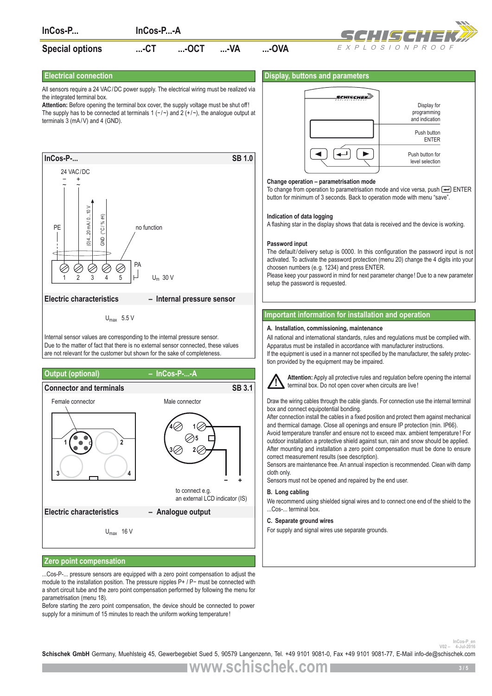

module to the installation position. The pressure nipples P+ / P− must be connected with a short circuit tube and the zero point compensation performed by following the menu for parametrisation (menu 18).

Before starting the zero point compensation, the device should be connected to power supply for a minimum of 15 minutes to reach the uniform working temperature!

wou – <sup>InCos-P</sup><br>**Schischek GmbH** Germany, Muehlsteig 45, Gewerbegebiet Sued 5, 90579 Langenzenn, Tel. +49 9101 9081-0, Fax +49 9101 9081-77, E-Mail info-de@schischek.com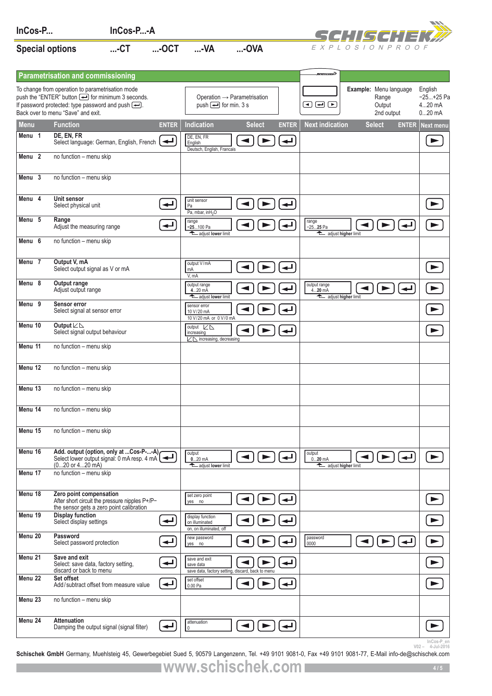| InCos-P                |                                                                                                                                                                                                                                   | InCos-P-A |              |                                                                                        |                                               |                      |                                                 |                      | SCHISCHIE                                               |                                              |
|------------------------|-----------------------------------------------------------------------------------------------------------------------------------------------------------------------------------------------------------------------------------|-----------|--------------|----------------------------------------------------------------------------------------|-----------------------------------------------|----------------------|-------------------------------------------------|----------------------|---------------------------------------------------------|----------------------------------------------|
| <b>Special options</b> |                                                                                                                                                                                                                                   | $$ -CT    | $$ -OCT      | $$ -VA                                                                                 | $$ -OVA                                       |                      |                                                 |                      | EXPLOSIONPROOF                                          |                                              |
|                        | <b>Parametrisation and commissioning</b>                                                                                                                                                                                          |           |              |                                                                                        |                                               |                      | ясниксный                                       |                      |                                                         |                                              |
|                        | To change from operation to parametrisation mode<br>push the "ENTER" button $\bigoplus$ for minimum 3 seconds.<br>If password protected: type password and push $\boxed{\longrightarrow}$ .<br>Back over to menu "Save" and exit. |           |              | Operation $\rightarrow$ Parametrisation<br>push $\boxed{\longrightarrow}$ for min. 3 s |                                               |                      | $\bm \Xi$ $\bm \Xi$ $\bm \Xi$                   |                      | Example: Menu language<br>Range<br>Output<br>2nd output | English<br>$-25+25$ Pa<br>420 mA<br>$020$ mA |
| <b>Menu</b>            | <b>Function</b>                                                                                                                                                                                                                   |           | <b>ENTER</b> | <b>Indication</b>                                                                      | <b>Select</b>                                 | <b>ENTER</b>         | <b>Next indication</b>                          |                      | <b>Select</b>                                           | <b>ENTER</b> Next menu                       |
| Menu 1                 | DE, EN, FR<br>Select language: German, English, French                                                                                                                                                                            |           | ↵            | DE, EN, FR<br>English<br>Deutsch, English, Francais                                    | ▶                                             | ↵                    |                                                 |                      |                                                         | ▶                                            |
| Menu <sub>2</sub>      | no function - menu skip                                                                                                                                                                                                           |           |              |                                                                                        |                                               |                      |                                                 |                      |                                                         |                                              |
| Menu <sub>3</sub>      | no function - menu skip                                                                                                                                                                                                           |           |              |                                                                                        |                                               |                      |                                                 |                      |                                                         |                                              |
| Menu 4                 | Unit sensor<br>Select physical unit                                                                                                                                                                                               |           | ↵            | unit sensor<br>Pa<br>Pa, mbar, inH <sub>2</sub> O                                      |                                               |                      |                                                 |                      |                                                         | $\blacktriangleright$                        |
| Menu <sub>5</sub>      | Range<br>Adjust the measuring range                                                                                                                                                                                               |           | پ            | range<br>$-25100$ Pa<br>adjust lower limit                                             |                                               |                      | range<br>$-2525$ Pa<br>adjust higher limit      |                      | ↵                                                       |                                              |
| Menu $6$               | no function - menu skip                                                                                                                                                                                                           |           |              |                                                                                        |                                               |                      |                                                 |                      |                                                         |                                              |
| Menu 7                 | Output V, mA<br>Select output signal as V or mA                                                                                                                                                                                   |           |              | output V/mA<br>mA<br>V, mA                                                             |                                               |                      |                                                 |                      |                                                         | ►                                            |
| Menu 8                 | Output range<br>Adjust output range                                                                                                                                                                                               |           |              | output range<br>420 mA<br>adjust lower limit                                           |                                               |                      | output range<br>$420$ mA<br>adjust higher limit |                      |                                                         |                                              |
| Menu $9$               | Sensor error<br>Select signal at sensor error                                                                                                                                                                                     |           |              | sensor error<br>10 V/20 mA<br>10 V/20 mA or 0 V/0 mA                                   |                                               |                      |                                                 |                      |                                                         |                                              |
| Menu 10                | Output $L \Delta$<br>Select signal output behaviour                                                                                                                                                                               |           |              | output $\nu \in \mathbb{R}$<br>increasing                                              |                                               |                      |                                                 |                      |                                                         | ▶                                            |
| Menu 11                | no function - menu skip                                                                                                                                                                                                           |           |              | $\nu \geq \mathbb{N}$ increasing, decreasing                                           |                                               |                      |                                                 |                      |                                                         |                                              |
| Menu 12                | no function - menu skip                                                                                                                                                                                                           |           |              |                                                                                        |                                               |                      |                                                 |                      |                                                         |                                              |
| Menu 13                | no function - menu skip                                                                                                                                                                                                           |           |              |                                                                                        |                                               |                      |                                                 |                      |                                                         |                                              |
| Menu 14                | no function - menu skip                                                                                                                                                                                                           |           |              |                                                                                        |                                               |                      |                                                 |                      |                                                         |                                              |
| Menu 15                | no function - menu skip                                                                                                                                                                                                           |           |              |                                                                                        |                                               |                      |                                                 |                      |                                                         |                                              |
| Menu 16                | Add. output (option, only at Cos-P--A)<br>Select lower output signal: 0 mA resp. 4 mA $\left  \right $<br>$(020 \text{ or } 420 \text{ mA})$                                                                                      |           |              | output<br>$020$ mA<br>adjust lower limit                                               | $\blacktriangleleft$<br>►                     |                      | output<br>$020$ mA<br>adjust higher limit       | ◀                    | $\blacktriangleright$<br>↵                              | $\blacktriangleright$                        |
| Menu 17                | no function - menu skip                                                                                                                                                                                                           |           |              |                                                                                        |                                               |                      |                                                 |                      |                                                         |                                              |
| Menu 18                | Zero point compensation<br>After short circuit the pressure nipples P+/P-<br>the sensor gets a zero point calibration                                                                                                             |           |              | set zero point<br>yes no                                                               | ►                                             |                      |                                                 |                      |                                                         |                                              |
| Menu 19                | <b>Display function</b><br>Select display settings                                                                                                                                                                                |           | ↵            | display function<br>on illuminated<br>on, on illuminated, off                          |                                               |                      |                                                 |                      |                                                         |                                              |
| Menu 20                | Password<br>Select password protection                                                                                                                                                                                            |           | ↵            | new password<br>yes no                                                                 |                                               |                      | password<br>0000                                | $\blacktriangleleft$ | ↵<br>►                                                  |                                              |
| Menu 21                | Save and exit<br>Select: save data, factory setting,<br>discard or back to menu                                                                                                                                                   |           | پ            | save and exit<br>save data<br>save data, factory setting, discard, back to menu        |                                               |                      |                                                 |                      |                                                         |                                              |
| Menu 22                | Set offset<br>Add/subtract offset from measure value                                                                                                                                                                              |           | ↵            | set offset<br>0.00 Pa                                                                  | ▶                                             | $\blacktriangleleft$ |                                                 |                      |                                                         |                                              |
| Menu 23                | no function - menu skip                                                                                                                                                                                                           |           |              |                                                                                        |                                               |                      |                                                 |                      |                                                         |                                              |
| Menu 24                | <b>Attenuation</b><br>Damping the output signal (signal filter)                                                                                                                                                                   |           | ↵            | attenuation<br>0                                                                       | $\blacktriangleleft$<br>$\blacktriangleright$ |                      |                                                 |                      |                                                         |                                              |
|                        |                                                                                                                                                                                                                                   |           |              |                                                                                        |                                               |                      |                                                 |                      |                                                         | InCos-P en<br>$V02 - 4$ -Jul-2016            |